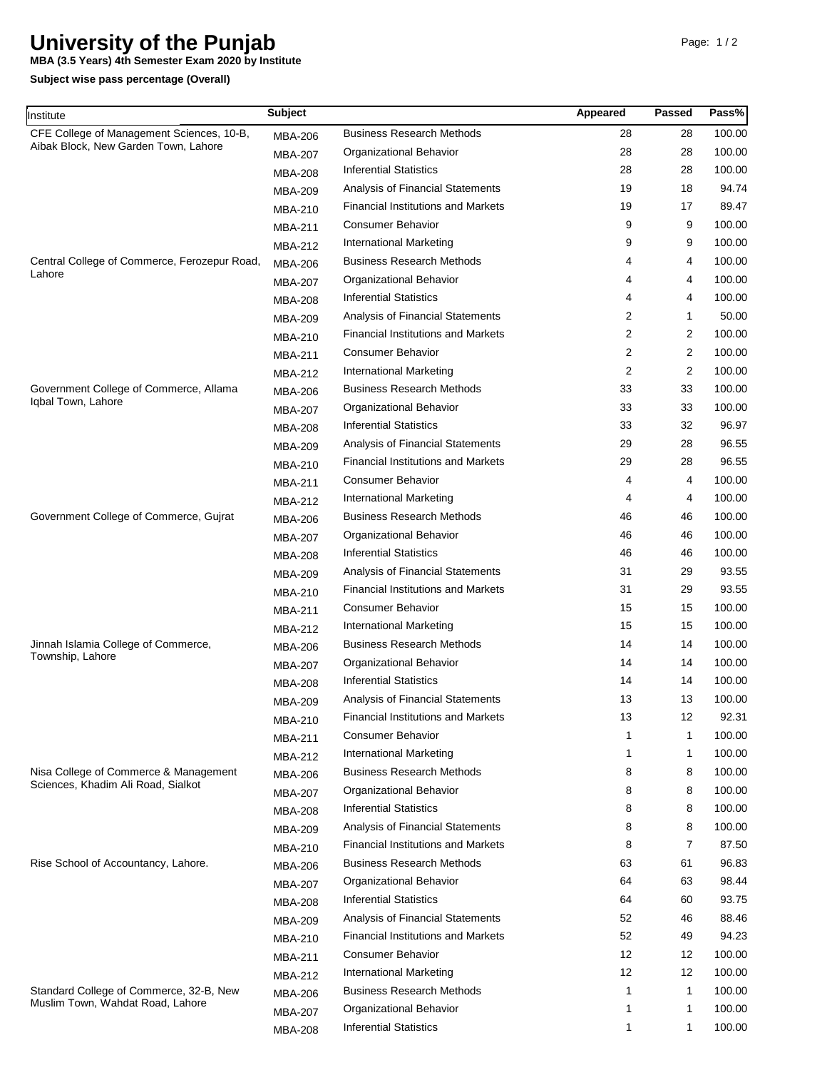## **University of the Punjab**

**MBA (3.5 Years) 4th Semester Exam 2020 by Institute**

**Subject wise pass percentage (Overall)**

| Institute                                                                         | <b>Subject</b> |                                           | Appeared       | Passed                  | Pass%  |
|-----------------------------------------------------------------------------------|----------------|-------------------------------------------|----------------|-------------------------|--------|
| CFE College of Management Sciences, 10-B,<br>Aibak Block, New Garden Town, Lahore | <b>MBA-206</b> | <b>Business Research Methods</b>          | 28             | 28                      | 100.00 |
|                                                                                   | <b>MBA-207</b> | Organizational Behavior                   | 28             | 28                      | 100.00 |
|                                                                                   | <b>MBA-208</b> | <b>Inferential Statistics</b>             | 28             | 28                      | 100.00 |
|                                                                                   | <b>MBA-209</b> | Analysis of Financial Statements          | 19             | 18                      | 94.74  |
|                                                                                   | <b>MBA-210</b> | <b>Financial Institutions and Markets</b> | 19             | 17                      | 89.47  |
|                                                                                   | <b>MBA-211</b> | <b>Consumer Behavior</b>                  | 9              | 9                       | 100.00 |
|                                                                                   | <b>MBA-212</b> | <b>International Marketing</b>            | 9              | 9                       | 100.00 |
| Central College of Commerce, Ferozepur Road,<br>Lahore                            | <b>MBA-206</b> | <b>Business Research Methods</b>          | 4              | 4                       | 100.00 |
|                                                                                   | <b>MBA-207</b> | Organizational Behavior                   | 4              | 4                       | 100.00 |
|                                                                                   | <b>MBA-208</b> | <b>Inferential Statistics</b>             | 4              | 4                       | 100.00 |
|                                                                                   | <b>MBA-209</b> | Analysis of Financial Statements          | 2              | $\mathbf{1}$            | 50.00  |
|                                                                                   | <b>MBA-210</b> | <b>Financial Institutions and Markets</b> | $\overline{2}$ | $\overline{c}$          | 100.00 |
|                                                                                   | <b>MBA-211</b> | <b>Consumer Behavior</b>                  | $\overline{2}$ | $\overline{2}$          | 100.00 |
|                                                                                   | <b>MBA-212</b> | <b>International Marketing</b>            | $\overline{2}$ | $\overline{\mathbf{c}}$ | 100.00 |
| Government College of Commerce, Allama                                            | <b>MBA-206</b> | <b>Business Research Methods</b>          | 33             | 33                      | 100.00 |
| Iqbal Town, Lahore                                                                | <b>MBA-207</b> | Organizational Behavior                   | 33             | 33                      | 100.00 |
|                                                                                   | <b>MBA-208</b> | <b>Inferential Statistics</b>             | 33             | 32                      | 96.97  |
|                                                                                   | <b>MBA-209</b> | Analysis of Financial Statements          | 29             | 28                      | 96.55  |
|                                                                                   | <b>MBA-210</b> | <b>Financial Institutions and Markets</b> | 29             | 28                      | 96.55  |
|                                                                                   | <b>MBA-211</b> | <b>Consumer Behavior</b>                  | 4              | 4                       | 100.00 |
|                                                                                   | MBA-212        | International Marketing                   | 4              | 4                       | 100.00 |
| Government College of Commerce, Gujrat                                            | <b>MBA-206</b> | <b>Business Research Methods</b>          | 46             | 46                      | 100.00 |
|                                                                                   | <b>MBA-207</b> | Organizational Behavior                   | 46             | 46                      | 100.00 |
|                                                                                   | <b>MBA-208</b> | <b>Inferential Statistics</b>             | 46             | 46                      | 100.00 |
|                                                                                   | <b>MBA-209</b> | Analysis of Financial Statements          | 31             | 29                      | 93.55  |
|                                                                                   | <b>MBA-210</b> | <b>Financial Institutions and Markets</b> | 31             | 29                      | 93.55  |
|                                                                                   | <b>MBA-211</b> | <b>Consumer Behavior</b>                  | 15             | 15                      | 100.00 |
|                                                                                   | <b>MBA-212</b> | <b>International Marketing</b>            | 15             | 15                      | 100.00 |
| Jinnah Islamia College of Commerce,                                               | MBA-206        | <b>Business Research Methods</b>          | 14             | 14                      | 100.00 |
| Township, Lahore                                                                  | <b>MBA-207</b> | Organizational Behavior                   | 14             | 14                      | 100.00 |
|                                                                                   | <b>MBA-208</b> | <b>Inferential Statistics</b>             | 14             | 14                      | 100.00 |
|                                                                                   | <b>MBA-209</b> | Analysis of Financial Statements          | 13             | 13                      | 100.00 |
|                                                                                   | <b>MBA-210</b> | <b>Financial Institutions and Markets</b> | 13             | 12                      | 92.31  |
|                                                                                   | <b>MBA-211</b> | <b>Consumer Behavior</b>                  |                | $\mathbf{1}$            | 100.00 |
|                                                                                   | <b>MBA-212</b> | <b>International Marketing</b>            | 1              | 1                       | 100.00 |
| Nisa College of Commerce & Management                                             | <b>MBA-206</b> | <b>Business Research Methods</b>          | 8              | 8                       | 100.00 |
| Sciences, Khadim Ali Road, Sialkot                                                | <b>MBA-207</b> | Organizational Behavior                   | 8              | 8                       | 100.00 |
|                                                                                   | <b>MBA-208</b> | <b>Inferential Statistics</b>             | 8              | 8                       | 100.00 |
|                                                                                   |                | Analysis of Financial Statements          | 8              | 8                       | 100.00 |
|                                                                                   | <b>MBA-209</b> | <b>Financial Institutions and Markets</b> | 8              | 7                       | 87.50  |
| Rise School of Accountancy, Lahore.                                               | <b>MBA-210</b> | <b>Business Research Methods</b>          | 63             | 61                      | 96.83  |
|                                                                                   | MBA-206        | Organizational Behavior                   | 64             | 63                      | 98.44  |
|                                                                                   | <b>MBA-207</b> | <b>Inferential Statistics</b>             | 64             | 60                      | 93.75  |
|                                                                                   | <b>MBA-208</b> | Analysis of Financial Statements          | 52             | 46                      | 88.46  |
|                                                                                   | <b>MBA-209</b> | <b>Financial Institutions and Markets</b> | 52             | 49                      | 94.23  |
|                                                                                   | MBA-210        | <b>Consumer Behavior</b>                  | 12             | 12                      | 100.00 |
|                                                                                   | <b>MBA-211</b> | <b>International Marketing</b>            | 12             | 12                      | 100.00 |
| Standard College of Commerce, 32-B, New<br>Muslim Town, Wahdat Road, Lahore       | <b>MBA-212</b> | <b>Business Research Methods</b>          | 1              | $\mathbf{1}$            | 100.00 |
|                                                                                   | <b>MBA-206</b> | Organizational Behavior                   | 1              | 1                       | 100.00 |
|                                                                                   | MBA-207        | <b>Inferential Statistics</b>             | $\mathbf 1$    | $\mathbf{1}$            | 100.00 |
|                                                                                   | <b>MBA-208</b> |                                           |                |                         |        |